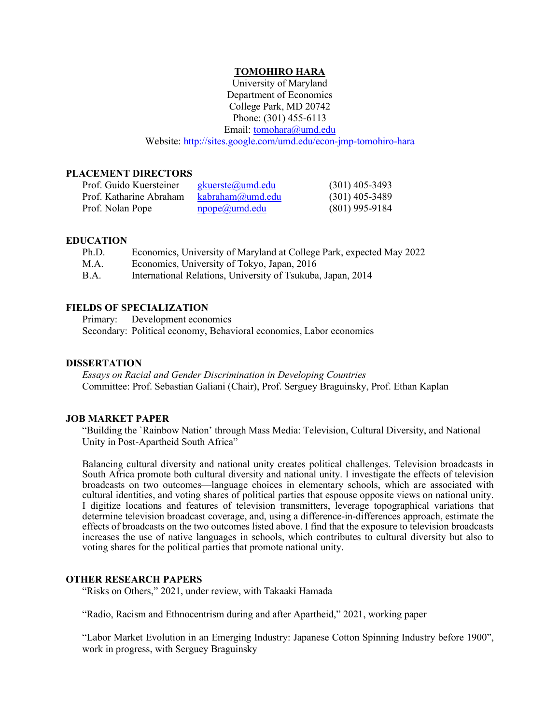### **TOMOHIRO HARA**

University of Maryland Department of Economics College Park, MD 20742 Phone: (301) 455-6113 Email: tomohara@umd.edu Website: [http://sites.google.com/umd.edu/econ-jmp-tomohiro-hara](http://sites.google.com/umd.edu/econ-jmp-tomohiro-hara/)

### **PLACEMENT DIRECTORS**

| Prof. Guido Kuersteiner | gkuerste@umd.edu          | $(301)$ 405-3493 |
|-------------------------|---------------------------|------------------|
| Prof. Katharine Abraham | kabraham(a)umd.edu        | $(301)$ 405-3489 |
| Prof. Nolan Pope        | $\text{npope}(a)$ umd.edu | $(801)$ 995-9184 |

#### **EDUCATION**

| Ph.D.       | Economics, University of Maryland at College Park, expected May 2022 |
|-------------|----------------------------------------------------------------------|
| M.A.        | Economics, University of Tokyo, Japan, 2016                          |
| <b>B.A.</b> | International Relations, University of Tsukuba, Japan, 2014          |

### **FIELDS OF SPECIALIZATION**

Primary: Development economics Secondary: Political economy, Behavioral economics, Labor economics

### **DISSERTATION**

*Essays on Racial and Gender Discrimination in Developing Countries* Committee: Prof. Sebastian Galiani (Chair), Prof. Serguey Braguinsky, Prof. Ethan Kaplan

### **JOB MARKET PAPER**

"Building the `Rainbow Nation' through Mass Media: Television, Cultural Diversity, and National Unity in Post-Apartheid South Africa"

Balancing cultural diversity and national unity creates political challenges. Television broadcasts in South Africa promote both cultural diversity and national unity. I investigate the effects of television broadcasts on two outcomes—language choices in elementary schools, which are associated with cultural identities, and voting shares of political parties that espouse opposite views on national unity. I digitize locations and features of television transmitters, leverage topographical variations that determine television broadcast coverage, and, using a difference-in-differences approach, estimate the effects of broadcasts on the two outcomes listed above. I find that the exposure to television broadcasts increases the use of native languages in schools, which contributes to cultural diversity but also to voting shares for the political parties that promote national unity.

#### **OTHER RESEARCH PAPERS**

"Risks on Others," 2021, under review, with Takaaki Hamada

"Radio, Racism and Ethnocentrism during and after Apartheid," 2021, working paper

"Labor Market Evolution in an Emerging Industry: Japanese Cotton Spinning Industry before 1900", work in progress, with Serguey Braguinsky